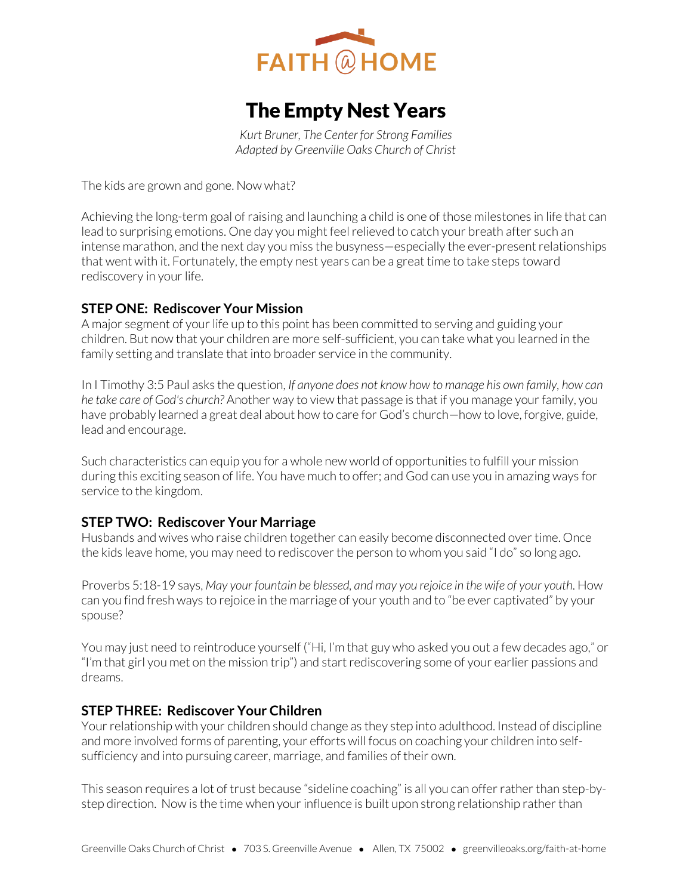

# The Empty Nest Years

*Kurt Bruner, The Center for Strong Families Adapted by Greenville Oaks Church of Christ* 

The kids are grown and gone. Now what?

Achieving the long-term goal of raising and launching a child is one of those milestones in life that can lead to surprising emotions. One day you might feel relieved to catch your breath after such an intense marathon, and the next day you miss the busyness—especially the ever-present relationships that went with it. Fortunately, the empty nest years can be a great time to take steps toward rediscovery in your life.

### **STEP ONE: Rediscover Your Mission**

A major segment of your life up to this point has been committed to serving and guiding your children. But now that your children are more self-sufficient, you can take what you learned in the family setting and translate that into broader service in the community.

In I Timothy 3:5 Paul asks the question, *If anyone does not know how to manage his own family, how can he take care of God's church?* Another way to view that passage is that if you manage your family, you have probably learned a great deal about how to care for God's church—how to love, forgive, guide, lead and encourage.

Such characteristics can equip you for a whole new world of opportunities to fulfill your mission during this exciting season of life. You have much to offer; and God can use you in amazing ways for service to the kingdom.

### **STEP TWO: Rediscover Your Marriage**

Husbands and wives who raise children together can easily become disconnected over time. Once the kids leave home, you may need to rediscover the person to whom you said "I do" so long ago.

Proverbs 5:18-19 says, *May your fountain be blessed, and may you rejoice in the wife of your youth*. How can you find fresh ways to rejoice in the marriage of your youth and to "be ever captivated" by your spouse?

You may just need to reintroduce yourself ("Hi, I'm that guy who asked you out a few decades ago," or "I'm that girl you met on the mission trip") and start rediscovering some of your earlier passions and dreams.

#### **STEP THREE: Rediscover Your Children**

Your relationship with your children should change as they step into adulthood. Instead of discipline and more involved forms of parenting, your efforts will focus on coaching your children into selfsufficiency and into pursuing career, marriage, and families of their own.

This season requires a lot of trust because "sideline coaching" is all you can offer rather than step-bystep direction. Now is the time when your influence is built upon strong relationship rather than